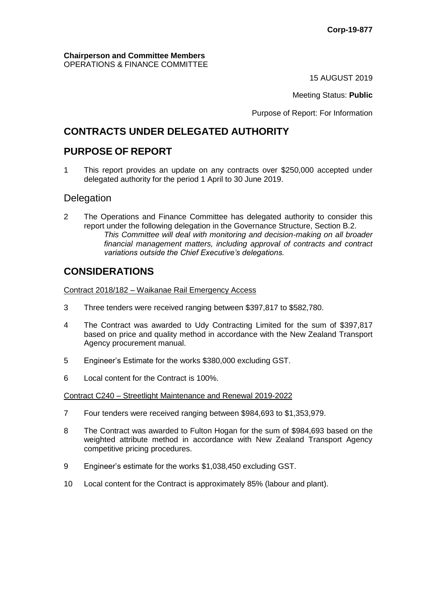**Chairperson and Committee Members** OPERATIONS & FINANCE COMMITTEE

15 AUGUST 2019

Meeting Status: **Public**

Purpose of Report: For Information

## **CONTRACTS UNDER DELEGATED AUTHORITY**

## **PURPOSE OF REPORT**

1 This report provides an update on any contracts over \$250,000 accepted under delegated authority for the period 1 April to 30 June 2019.

## **Delegation**

2 The Operations and Finance Committee has delegated authority to consider this report under the following delegation in the Governance Structure, Section B.2. *This Committee will deal with monitoring and decision-making on all broader financial management matters, including approval of contracts and contract variations outside the Chief Executive's delegations.*

# **CONSIDERATIONS**

Contract 2018/182 – Waikanae Rail Emergency Access

- 3 Three tenders were received ranging between \$397,817 to \$582,780.
- 4 The Contract was awarded to Udy Contracting Limited for the sum of \$397,817 based on price and quality method in accordance with the New Zealand Transport Agency procurement manual.
- 5 Engineer's Estimate for the works \$380,000 excluding GST.
- 6 Local content for the Contract is 100%.

Contract C240 – Streetlight Maintenance and Renewal 2019-2022

- 7 Four tenders were received ranging between \$984,693 to \$1,353,979.
- 8 The Contract was awarded to Fulton Hogan for the sum of \$984,693 based on the weighted attribute method in accordance with New Zealand Transport Agency competitive pricing procedures.
- 9 Engineer's estimate for the works \$1,038,450 excluding GST.
- 10 Local content for the Contract is approximately 85% (labour and plant).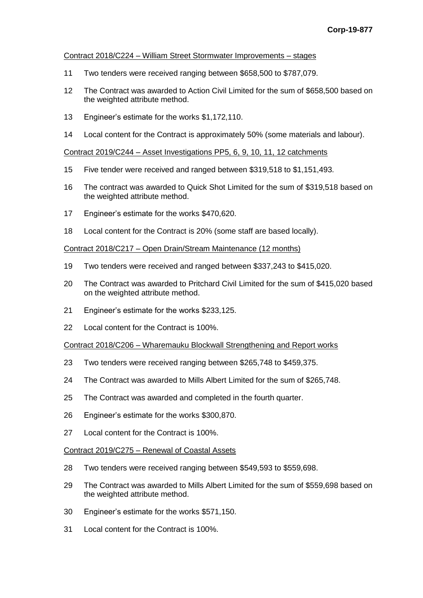#### Contract 2018/C224 – William Street Stormwater Improvements – stages

- Two tenders were received ranging between \$658,500 to \$787,079.
- The Contract was awarded to Action Civil Limited for the sum of \$658,500 based on the weighted attribute method.
- Engineer's estimate for the works \$1,172,110.
- Local content for the Contract is approximately 50% (some materials and labour).

#### Contract 2019/C244 – Asset Investigations PP5, 6, 9, 10, 11, 12 catchments

- Five tender were received and ranged between \$319,518 to \$1,151,493.
- The contract was awarded to Quick Shot Limited for the sum of \$319,518 based on the weighted attribute method.
- Engineer's estimate for the works \$470,620.
- Local content for the Contract is 20% (some staff are based locally).

#### Contract 2018/C217 – Open Drain/Stream Maintenance (12 months)

- Two tenders were received and ranged between \$337,243 to \$415,020.
- The Contract was awarded to Pritchard Civil Limited for the sum of \$415,020 based on the weighted attribute method.
- Engineer's estimate for the works \$233,125.
- Local content for the Contract is 100%.

#### Contract 2018/C206 – Wharemauku Blockwall Strengthening and Report works

- Two tenders were received ranging between \$265,748 to \$459,375.
- The Contract was awarded to Mills Albert Limited for the sum of \$265,748.
- The Contract was awarded and completed in the fourth quarter.
- Engineer's estimate for the works \$300,870.
- Local content for the Contract is 100%.

#### Contract 2019/C275 – Renewal of Coastal Assets

- Two tenders were received ranging between \$549,593 to \$559,698.
- The Contract was awarded to Mills Albert Limited for the sum of \$559,698 based on the weighted attribute method.
- Engineer's estimate for the works \$571,150.
- Local content for the Contract is 100%.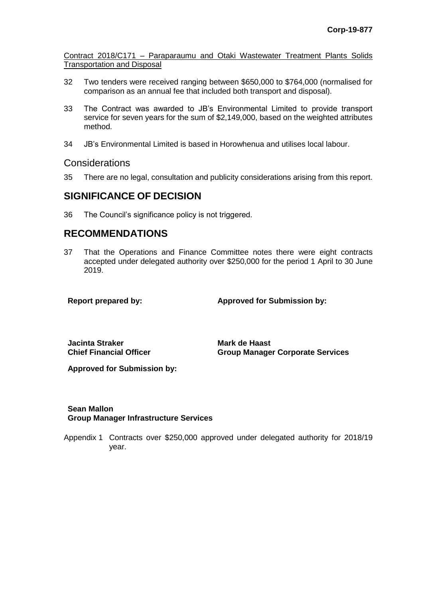Contract 2018/C171 – Paraparaumu and Otaki Wastewater Treatment Plants Solids Transportation and Disposal

- 32 Two tenders were received ranging between \$650,000 to \$764,000 (normalised for comparison as an annual fee that included both transport and disposal).
- 33 The Contract was awarded to JB's Environmental Limited to provide transport service for seven years for the sum of \$2,149,000, based on the weighted attributes method.
- 34 JB's Environmental Limited is based in Horowhenua and utilises local labour.

### Considerations

35 There are no legal, consultation and publicity considerations arising from this report.

## **SIGNIFICANCE OF DECISION**

36 The Council's significance policy is not triggered.

## **RECOMMENDATIONS**

37 That the Operations and Finance Committee notes there were eight contracts accepted under delegated authority over \$250,000 for the period 1 April to 30 June 2019.

**Report prepared by: Approved for Submission by:**

**Jacinta Straker Chief Financial Officer** **Mark de Haast Group Manager Corporate Services**

**Approved for Submission by:**

### **Sean Mallon Group Manager Infrastructure Services**

Appendix 1 Contracts over \$250,000 approved under delegated authority for 2018/19 year.